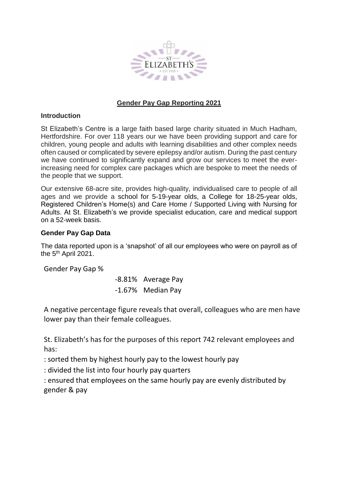

## **Gender Pay Gap Reporting 2021**

## **Introduction**

St Elizabeth's Centre is a large faith based large charity situated in Much Hadham, Hertfordshire. For over 118 years our we have been providing support and care for children, young people and adults with learning disabilities and other complex needs often caused or complicated by severe epilepsy and/or autism. During the past century we have continued to significantly expand and grow our services to meet the everincreasing need for complex care packages which are bespoke to meet the needs of the people that we support.

Our extensive 68-acre site, provides high-quality, individualised care to people of all ages and we provide a school for 5-19-year olds, a College for 18-25-year olds, Registered Children's Home(s) and Care Home / Supported Living with Nursing for Adults. At St. Elizabeth's we provide specialist education, care and medical support on a 52-week basis.

## **Gender Pay Gap Data**

The data reported upon is a 'snapshot' of all our employees who were on payroll as of the 5<sup>th</sup> April 2021.

Gender Pay Gap %

-8.81% Average Pay -1.67% Median Pay

A negative percentage figure reveals that overall, colleagues who are men have lower pay than their female colleagues.

St. Elizabeth's has for the purposes of this report 742 relevant employees and has:

: sorted them by highest hourly pay to the lowest hourly pay

: divided the list into four hourly pay quarters

: ensured that employees on the same hourly pay are evenly distributed by gender & pay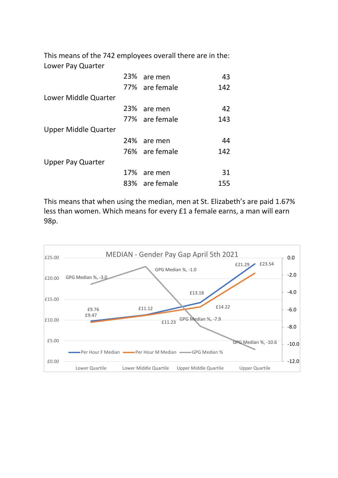This means of the 742 employees overall there are in the: Lower Pay Quarter

|                          | 23% are men    | 43  |
|--------------------------|----------------|-----|
|                          | 77% are female | 142 |
| Lower Middle Quarter     |                |     |
|                          | 23% are men    | 42  |
|                          | 77% are female | 143 |
| Upper Middle Quarter     |                |     |
|                          | 24% are men    | 44  |
|                          | 76% are female | 142 |
| <b>Upper Pay Quarter</b> |                |     |
|                          | 17% are men    | 31  |
|                          | 83% are female | 155 |

This means that when using the median, men at St. Elizabeth's are paid 1.67% less than women. Which means for every £1 a female earns, a man will earn 98p.

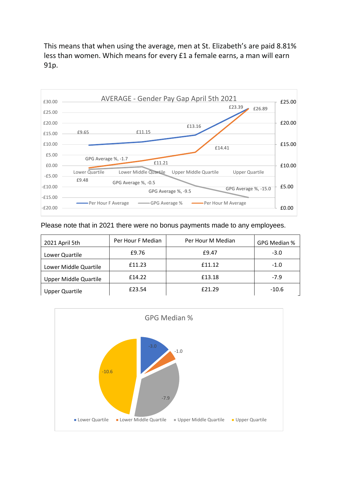This means that when using the average, men at St. Elizabeth's are paid 8.81% less than women. Which means for every £1 a female earns, a man will earn 91p.



Please note that in 2021 there were no bonus payments made to any employees.

| 2021 April 5th               | Per Hour F Median | Per Hour M Median | GPG Median % |
|------------------------------|-------------------|-------------------|--------------|
| Lower Quartile               | £9.76             | £9.47             | $-3.0$       |
| Lower Middle Quartile        | £11.23            | f11.12            | $-1.0$       |
| <b>Upper Middle Quartile</b> | £14.22            | £13.18            | $-7.9$       |
| <b>Upper Quartile</b>        | £23.54            | £21.29            | $-10.6$      |

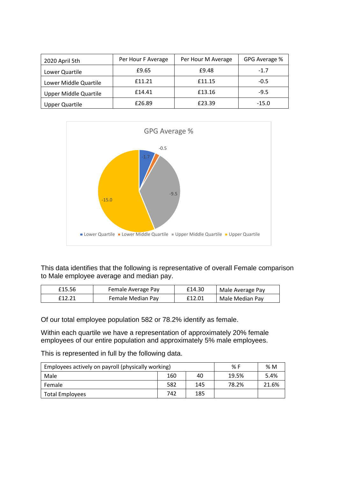| 2020 April 5th               | Per Hour F Average | Per Hour M Average | GPG Average % |
|------------------------------|--------------------|--------------------|---------------|
| Lower Quartile               | £9.65              | £9.48              | $-1.7$        |
| Lower Middle Quartile        | f11.21             | £11.15             | $-0.5$        |
| <b>Upper Middle Quartile</b> | f14.41             | £13.16             | $-9.5$        |
| <b>Upper Quartile</b>        | £26.89             | £23.39             | $-15.0$       |



This data identifies that the following is representative of overall Female comparison to Male employee average and median pay.

| £15.56 | Female Average Pay | £14.30 | Male Average Pay |
|--------|--------------------|--------|------------------|
| £12.21 | Female Median Pay  | £12.01 | Male Median Pay  |

Of our total employee population 582 or 78.2% identify as female.

Within each quartile we have a representation of approximately 20% female employees of our entire population and approximately 5% male employees.

This is represented in full by the following data.

| Employees actively on payroll (physically working) | % F   | %M   |       |       |
|----------------------------------------------------|-------|------|-------|-------|
| Male                                               | 19.5% | 5.4% |       |       |
| Female                                             | 582   | 145  | 78.2% | 21.6% |
| Total Employees                                    |       |      |       |       |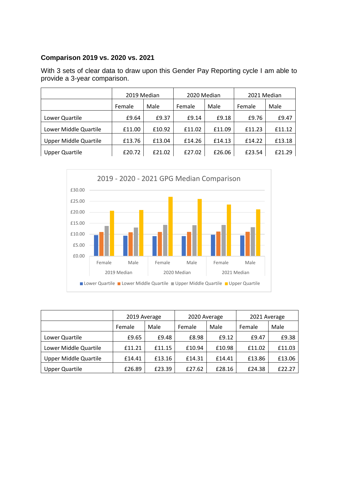# **Comparison 2019 vs. 2020 vs. 2021**

With 3 sets of clear data to draw upon this Gender Pay Reporting cycle I am able to provide a 3-year comparison.

|                              | 2019 Median |        | 2020 Median |        | 2021 Median |        |
|------------------------------|-------------|--------|-------------|--------|-------------|--------|
|                              | Female      | Male   | Female      | Male   | Female      | Male   |
| Lower Quartile               | £9.64       | £9.37  | £9.14       | £9.18  | £9.76       | £9.47  |
| Lower Middle Quartile        | £11.00      | £10.92 | £11.02      | £11.09 | £11.23      | £11.12 |
| <b>Upper Middle Quartile</b> | £13.76      | £13.04 | £14.26      | £14.13 | £14.22      | £13.18 |
| <b>Upper Quartile</b>        | £20.72      | £21.02 | £27.02      | £26.06 | £23.54      | £21.29 |



|                              | 2019 Average |        | 2020 Average |        | 2021 Average |        |
|------------------------------|--------------|--------|--------------|--------|--------------|--------|
|                              | Female       | Male   | Female       | Male   | Female       | Male   |
| Lower Quartile               | £9.65        | £9.48  | £8.98        | £9.12  | £9.47        | £9.38  |
| Lower Middle Quartile        | £11.21       | £11.15 | £10.94       | £10.98 | £11.02       | £11.03 |
| <b>Upper Middle Quartile</b> | £14.41       | £13.16 | £14.31       | £14.41 | £13.86       | £13.06 |
| <b>Upper Quartile</b>        | £26.89       | £23.39 | £27.62       | £28.16 | £24.38       | £22.27 |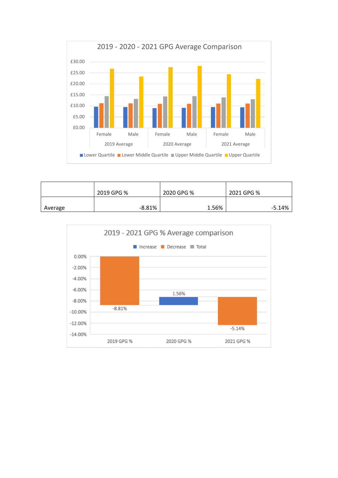

|         | 2019 GPG % | 2020 GPG % | 2021 GPG % |
|---------|------------|------------|------------|
| Average | $-8.81%$   | 1.56%      | $-5.14%$   |

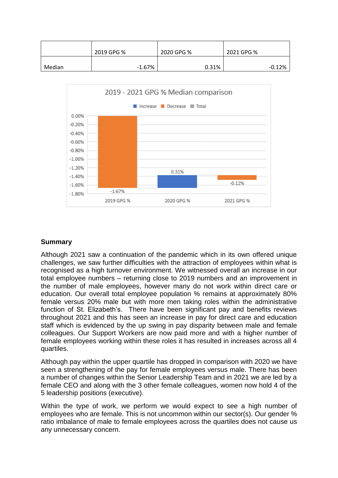|        | 2019 GPG % | 2020 GPG % | 2021 GPG % |
|--------|------------|------------|------------|
| Median | $-1.67\%$  | 0.31%      | $-0.12%$   |



### **Summary**

Although 2021 saw a continuation of the pandemic which in its own offered unique challenges, we saw further difficulties with the attraction of employees within what is recognised as a high turnover environment. We witnessed overall an increase in our total employee numbers – returning close to 2019 numbers and an improvement in the number of male employees, however many do not work within direct care or education. Our overall total employee population % remains at approximately 80% female versus 20% male but with more men taking roles within the administrative function of St. Elizabeth's. There have been significant pay and benefits reviews throughout 2021 and this has seen an increase in pay for direct care and education staff which is evidenced by the up swing in pay disparity between male and female colleagues. Our Support Workers are now paid more and with a higher number of female employees working within these roles it has resulted in increases across all 4 quartiles.

Although pay within the upper quartile has dropped in comparison with 2020 we have seen a strengthening of the pay for female employees versus male. There has been a number of changes within the Senior Leadership Team and in 2021 we are led by a female CEO and along with the 3 other female colleagues, women now hold 4 of the 5 leadership positions (executive).

Within the type of work, we perform we would expect to see a high number of employees who are female. This is not uncommon within our sector(s). Our gender % ratio imbalance of male to female employees across the quartiles does not cause us any unnecessary concern.